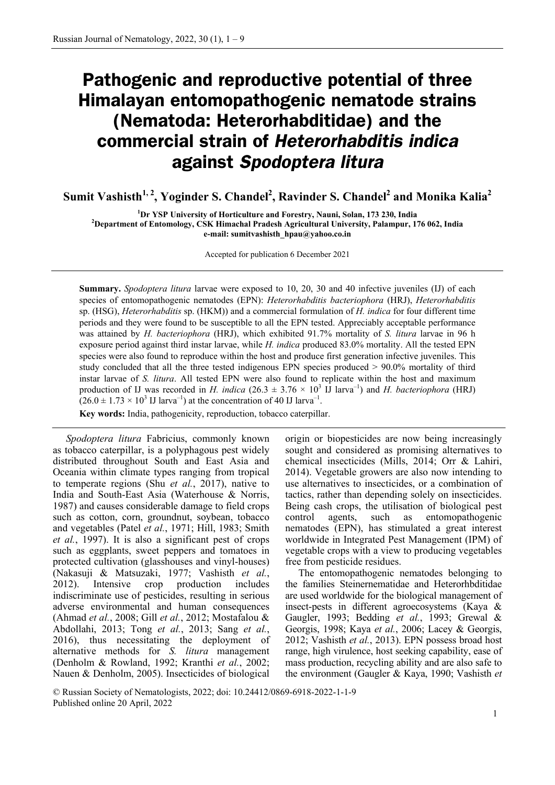# **Pathogenic and reproductive potential of three Himalayan entomopathogenic nematode strains (Nematoda: Heterorhabditidae) and the commercial strain of** *Heterorhabditis indica* **against** *Spodoptera litura*

 $\textbf{Sumit Vashisth}^{1,2}, \textbf{Yoginder S. Chandel}^2, \textbf{Rayinder S. Chandel}^2, \textbf{and Monika Kalia}^2$ 

<sup>1</sup> <sup>1</sup> Dr YSP University of Horticulture and Forestry, Nauni, Solan, 173 230, India<sup>2</sup> Penertment of Entemploy, CSK Himechal Prodesh Agricultural University, Pelempur, 1 **Department of Entomology, CSK Himachal Pradesh Agricultural University, Palampur, 176 062, India e-mail: sumitvashisth\_hpau@yahoo.co.in**

Accepted for publication 6 December 2021

**Summary.** *Spodoptera litura* larvae were exposed to 10, 20, 30 and 40 infective juveniles (IJ) of each species of entomopathogenic nematodes (EPN): *Heterorhabditis bacteriophora* (HRJ), *Heterorhabditis* sp. (HSG), *Heterorhabditis* sp. (HKM)) and a commercial formulation of *H. indica* for four different time periods and they were found to be susceptible to all the EPN tested. Appreciably acceptable performance was attained by *H. bacteriophora* (HRJ), which exhibited 91.7% mortality of *S. litura* larvae in 96 h exposure period against third instar larvae, while *H. indica* produced 83.0% mortality. All the tested EPN species were also found to reproduce within the host and produce first generation infective juveniles. This study concluded that all the three tested indigenous EPN species produced > 90.0% mortality of third instar larvae of *S. litura*. All tested EPN were also found to replicate within the host and maximum production of IJ was recorded in *H. indica*  $(26.3 \pm 3.76 \times 10^3 \text{ IJ } \text{larva}^{-1})$  and *H. bacteriophora* (HRJ)  $(26.0 \pm 1.73 \times 10^3 \text{ J} \text{ J} \text{ larva}^{-1})$  at the concentration of 40 IJ larva<sup>-1</sup>.

**Key words:** India, pathogenicity, reproduction, tobacco caterpillar.

*Spodoptera litura* Fabricius, commonly known as tobacco caterpillar, is a polyphagous pest widely distributed throughout South and East Asia and Oceania within climate types ranging from tropical to temperate regions (Shu *et al.*, 2017), native to India and South-East Asia (Waterhouse & Norris, 1987) and causes considerable damage to field crops such as cotton, corn, groundnut, soybean, tobacco and vegetables (Patel *et al.*, 1971; Hill, 1983; Smith *et al.*, 1997). It is also a significant pest of crops such as eggplants, sweet peppers and tomatoes in protected cultivation (glasshouses and vinyl-houses) (Nakasuji & Matsuzaki, 1977; Vashisth *et al.*, 2012). Intensive crop production includes indiscriminate use of pesticides, resulting in serious adverse environmental and human consequences (Ahmad *et al.*, 2008; Gill *et al.*, 2012; Mostafalou & Abdollahi, 2013; Tong *et al.*, 2013; Sang *et al.*, 2016), thus necessitating the deployment of alternative methods for *S. litura* management (Denholm & Rowland, 1992; Kranthi *et al.*, 2002; Nauen & Denholm, 2005). Insecticides of biological

origin or biopesticides are now being increasingly sought and considered as promising alternatives to chemical insecticides (Mills, 2014; Orr & Lahiri, 2014). Vegetable growers are also now intending to use alternatives to insecticides, or a combination of tactics, rather than depending solely on insecticides. Being cash crops, the utilisation of biological pest control agents, such as entomopathogenic nematodes (EPN), has stimulated a great interest worldwide in Integrated Pest Management (IPM) of vegetable crops with a view to producing vegetables free from pesticide residues.

The entomopathogenic nematodes belonging to the families Steinernematidae and Heterorhbditidae are used worldwide for the biological management of insect-pests in different agroecosystems (Kaya & Gaugler, 1993; Bedding *et al.*, 1993; Grewal & Georgis, 1998; Kaya *et al.*, 2006; Lacey & Georgis, 2012; Vashisth *et al.*, 2013). EPN possess broad host range, high virulence, host seeking capability, ease of mass production, recycling ability and are also safe to the environment (Gaugler & Kaya, 1990; Vashisth *et* 

<sup>©</sup> Russian Society of Nematologists, 2022; doi: 10.24412/0869-6918-2022-1-1-9 Published online 20 April, 2022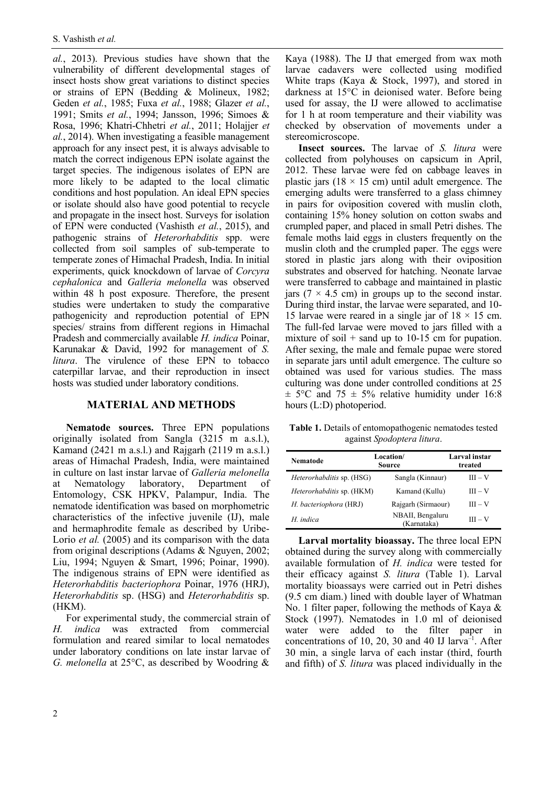*al.*, 2013). Previous studies have shown that the vulnerability of different developmental stages of insect hosts show great variations to distinct species or strains of EPN (Bedding & Molineux, 1982; Geden *et al.*, 1985; Fuxa *et al.*, 1988; Glazer *et al.*, 1991; Smits *et al.*, 1994; Jansson, 1996; Simoes & Rosa, 1996; Khatri-Chhetri *et al.*, 2011; Holajjer *et al.*, 2014). When investigating a feasible management approach for any insect pest, it is always advisable to match the correct indigenous EPN isolate against the target species. The indigenous isolates of EPN are more likely to be adapted to the local climatic conditions and host population. An ideal EPN species or isolate should also have good potential to recycle and propagate in the insect host. Surveys for isolation of EPN were conducted (Vashisth *et al.*, 2015), and pathogenic strains of *Heterorhabditis* spp. were collected from soil samples of sub-temperate to temperate zones of Himachal Pradesh, India. In initial experiments, quick knockdown of larvae of *Corcyra cephalonica* and *Galleria melonella* was observed within 48 h post exposure. Therefore, the present studies were undertaken to study the comparative pathogenicity and reproduction potential of EPN species/ strains from different regions in Himachal Pradesh and commercially available *H. indica* Poinar, Karunakar & David, 1992 for management of *S. litura*. The virulence of these EPN to tobacco caterpillar larvae, and their reproduction in insect hosts was studied under laboratory conditions.

## **MATERIAL AND METHODS**

**Nematode sources.** Three EPN populations originally isolated from Sangla (3215 m a.s.l.), Kamand (2421 m a.s.l.) and Rajgarh (2119 m a.s.l.) areas of Himachal Pradesh, India, were maintained in culture on last instar larvae of *Galleria melonella* at Nematology laboratory, Department of Entomology, CSK HPKV, Palampur, India. The nematode identification was based on morphometric characteristics of the infective juvenile (IJ), male and hermaphrodite female as described by Uribe-Lorio *et al.* (2005) and its comparison with the data from original descriptions (Adams & Nguyen, 2002; Liu, 1994; Nguyen & Smart, 1996; Poinar, 1990). The indigenous strains of EPN were identified as *Heterorhabditis bacteriophora* [Poinar,](https://en.wikipedia.org/wiki/George_Poinar,_Jr.) 1976 (HRJ), *Heterorhabditis* sp. (HSG) and *Heterorhabditis* sp. (HKM).

For experimental study, the commercial strain of *H. indica* was extracted from commercial formulation and reared similar to local nematodes under laboratory conditions on late instar larvae of *G. melonella* at 25°C, as described by Woodring &

Kaya (1988). The IJ that emerged from wax moth larvae cadavers were collected using modified White traps (Kaya & Stock, 1997), and stored in darkness at 15°C in deionised water. Before being used for assay, the IJ were allowed to acclimatise for 1 h at room temperature and their viability was checked by observation of movements under a stereomicroscope.

**Insect sources.** The larvae of *S. litura* were collected from polyhouses on capsicum in April, 2012. These larvae were fed on cabbage leaves in plastic jars ( $18 \times 15$  cm) until adult emergence. The emerging adults were transferred to a glass chimney in pairs for oviposition covered with muslin cloth, containing 15% honey solution on cotton swabs and crumpled paper, and placed in small Petri dishes. The female moths laid eggs in clusters frequently on the muslin cloth and the crumpled paper. The eggs were stored in plastic jars along with their oviposition substrates and observed for hatching. Neonate larvae were transferred to cabbage and maintained in plastic jars ( $7 \times 4.5$  cm) in groups up to the second instar. During third instar, the larvae were separated, and 10- 15 larvae were reared in a single jar of  $18 \times 15$  cm. The full-fed larvae were moved to jars filled with a mixture of soil  $+$  sand up to 10-15 cm for pupation. After sexing, the male and female pupae were stored in separate jars until adult emergence. The culture so obtained was used for various studies. The mass culturing was done under controlled conditions at 25  $\pm$  5°C and 75  $\pm$  5% relative humidity under 16:8 hours (L:D) photoperiod.

**Table 1.** Details of entomopathogenic nematodes tested against *Spodoptera litura*.

| Nematode                         | Location/<br>Source             | Larval instar<br>treated |  |
|----------------------------------|---------------------------------|--------------------------|--|
| <i>Heterorhabditis</i> sp. (HSG) | Sangla (Kinnaur)                | $III - V$                |  |
| Heterorhabditis sp. (HKM)        | Kamand (Kullu)                  | $III - V$                |  |
| H. bacteriophora (HRJ)           | Rajgarh (Sirmaour)              | $III - V$                |  |
| H. indica                        | NBAII, Bengaluru<br>(Karnataka) | $III - V$                |  |

**Larval mortality bioassay.** The three local EPN obtained during the survey along with commercially available formulation of *H. indica* were tested for their efficacy against *S. litura* (Table 1). Larval mortality bioassays were carried out in Petri dishes (9.5 cm diam.) lined with double layer of Whatman No. 1 filter paper, following the methods of Kaya & Stock (1997). Nematodes in 1.0 ml of deionised water were added to the filter paper in concentrations of 10, 20, 30 and 40 IJ larva<sup>-1</sup>. After 30 min, a single larva of each instar (third, fourth and fifth) of *S. litura* was placed individually in the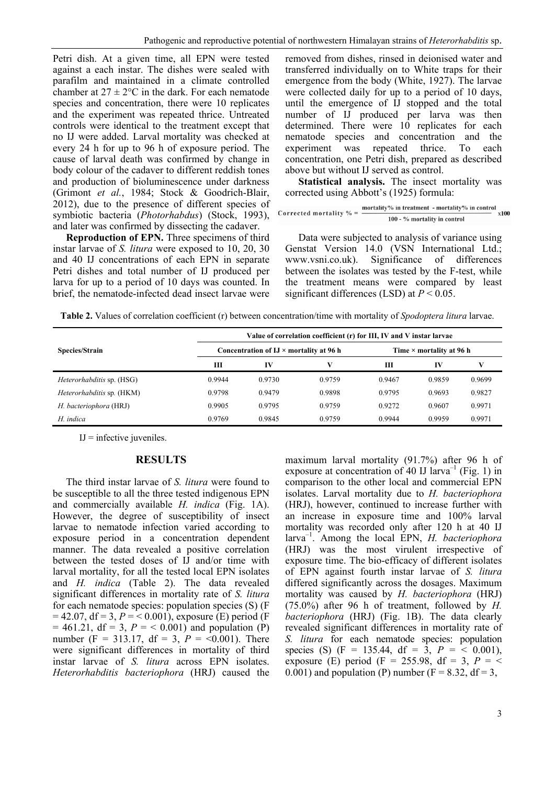Petri dish. At a given time, all EPN were tested against a each instar. The dishes were sealed with parafilm and maintained in a climate controlled chamber at  $27 \pm 2$ °C in the dark. For each nematode species and concentration, there were 10 replicates and the experiment was repeated thrice. Untreated controls were identical to the treatment except that no IJ were added. Larval mortality was checked at every 24 h for up to 96 h of exposure period. The cause of larval death was confirmed by change in body colour of the cadaver to different reddish tones and production of bioluminescence under darkness (Grimont *et al.*, 1984; Stock & Goodrich-Blair, 2012), due to the presence of different species of symbiotic bacteria (*Photorhabdus*) (Stock, 1993), and later was confirmed by dissecting the cadaver.

**Reproduction of EPN.** Three specimens of third instar larvae of *S. litura* were exposed to 10, 20, 30 and 40 IJ concentrations of each EPN in separate Petri dishes and total number of IJ produced per larva for up to a period of 10 days was counted. In brief, the nematode-infected dead insect larvae were

removed from dishes, rinsed in deionised water and transferred individually on to White traps for their emergence from the body (White, 1927). The larvae were collected daily for up to a period of 10 days, until the emergence of IJ stopped and the total number of IJ produced per larva was then determined. There were 10 replicates for each nematode species and concentration and the experiment was repeated thrice. To each concentration, one Petri dish, prepared as described above but without IJ served as control.

**Statistical analysis.** The insect mortality was corrected using Abbott's (1925) formula:

Corrected mortality 
$$
\% = \frac{\text{mordality}\% \text{ in treatment - mortality}\% \text{ in control}}{100 - \% \text{ mortality in control}} \times 100
$$

Data were subjected to analysis of variance using Genstat Version 14.0 (VSN International Ltd.; www.vsni.co.uk). Significance of differences between the isolates was tested by the F-test, while the treatment means were compared by least significant differences (LSD) at *P* < 0.05.

**Table 2.** Values of correlation coefficient (r) between concentration/time with mortality of *Spodoptera litura* larvae.

| Species/Strain                   |        | Value of correlation coefficient (r) for III, IV and V instar larvae |        |        |                          |        |  |  |
|----------------------------------|--------|----------------------------------------------------------------------|--------|--------|--------------------------|--------|--|--|
|                                  |        | Concentration of $IJ \times$ mortality at 96 h                       |        |        | Time × mortality at 96 h |        |  |  |
|                                  | Ш      | IV                                                                   | v      | Ш      | IV                       |        |  |  |
| <i>Heterorhabditis</i> sp. (HSG) | 0.9944 | 0.9730                                                               | 0.9759 | 0.9467 | 0.9859                   | 0.9699 |  |  |
| <i>Heterorhabditis</i> sp. (HKM) | 0.9798 | 0.9479                                                               | 0.9898 | 0.9795 | 0.9693                   | 0.9827 |  |  |
| H. bacteriophora (HRJ)           | 0.9905 | 0.9795                                                               | 0.9759 | 0.9272 | 0.9607                   | 0.9971 |  |  |
| H. indica                        | 0.9769 | 0.9845                                                               | 0.9759 | 0.9944 | 0.9959                   | 0.9971 |  |  |

 $IJ =$  infective juveniles.

# **RESULTS**

The third instar larvae of *S. litura* were found to be susceptible to all the three tested indigenous EPN and commercially available *H. indica* (Fig. 1A). However, the degree of susceptibility of insect larvae to nematode infection varied according to exposure period in a concentration dependent manner. The data revealed a positive correlation between the tested doses of IJ and/or time with larval mortality, for all the tested local EPN isolates and *H. indica* (Table 2). The data revealed significant differences in mortality rate of *S. litura* for each nematode species: population species (S) (F  $= 42.07$ , df = 3,  $P = 0.001$ ), exposure (E) period (F)  $= 461.21$ , df  $= 3$ ,  $P = < 0.001$ ) and population (P) number (F = 313.17, df = 3,  $P = \{0.001\}$ ). There were significant differences in mortality of third instar larvae of *S. litura* across EPN isolates. *Heterorhabditis bacteriophora* (HRJ) caused the maximum larval mortality (91.7%) after 96 h of exposure at concentration of 40 IJ larva<sup>-1</sup> (Fig. 1) in comparison to the other local and commercial EPN isolates. Larval mortality due to *H. bacteriophora* (HRJ), however, continued to increase further with an increase in exposure time and 100% larval mortality was recorded only after 120 h at 40 IJ larva–1 . Among the local EPN, *H. bacteriophora* (HRJ) was the most virulent irrespective of exposure time. The bio-efficacy of different isolates of EPN against fourth instar larvae of *S. litura* differed significantly across the dosages. Maximum mortality was caused by *H. bacteriophora* (HRJ) (75.0%) after 96 h of treatment, followed by *H. bacteriophora* (HRJ) (Fig. 1B). The data clearly revealed significant differences in mortality rate of *S. litura* for each nematode species: population species (S) (F = 135.44, df =  $\overline{3}$ ,  $P = \overline{5}$  0.001), exposure (E) period (F = 255.98, df = 3,  $P = \leq$ 0.001) and population (P) number ( $F = 8.32$ , df = 3,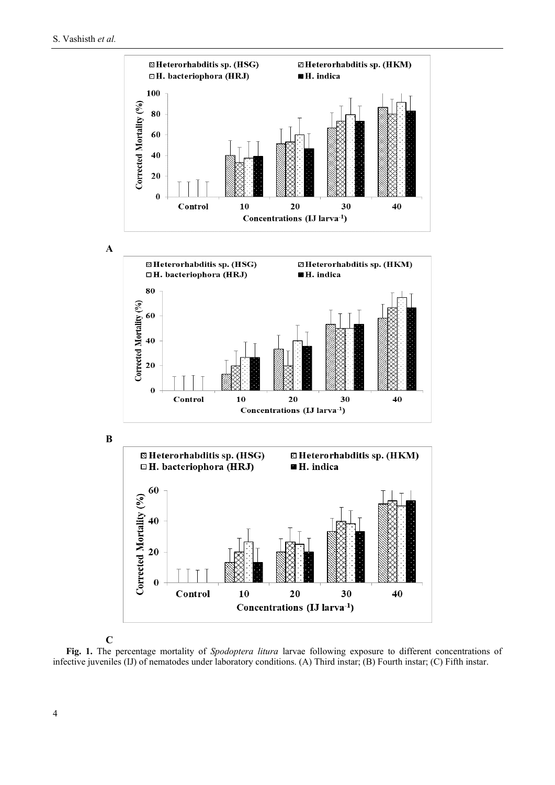

**C**

**Fig. 1.** The percentage mortality of *Spodoptera litura* larvae following exposure to different concentrations of infective juveniles (IJ) of nematodes under laboratory conditions. (A) Third instar; (B) Fourth instar; (C) Fifth instar.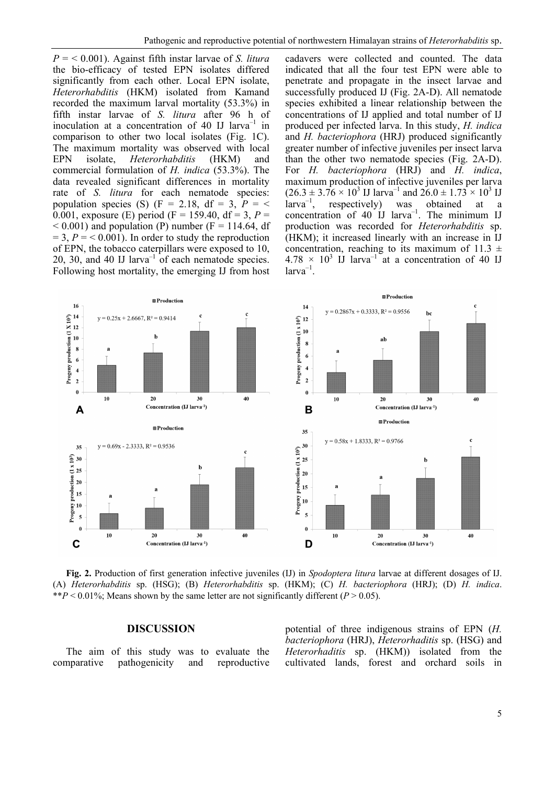$P = 60,001$ . Against fifth instar larvae of *S. litura* the bio-efficacy of tested EPN isolates differed significantly from each other. Local EPN isolate, *Heterorhabditis* (HKM) isolated from Kamand recorded the maximum larval mortality (53.3%) in fifth instar larvae of *S. litura* after 96 h of inoculation at a concentration of 40 IJ larva<sup>-1</sup> in comparison to other two local isolates (Fig. 1C). The maximum mortality was observed with local EPN isolate, *Heterorhabditis* (HKM) and commercial formulation of *H. indica* (53.3%). The data revealed significant differences in mortality rate of *S. litura* for each nematode species: population species (S) (F = 2.18, df = 3,  $P = \leq$ 0.001, exposure (E) period (F = 159.40, df = 3,  $P =$  $< 0.001$ ) and population (P) number (F = 114.64, df  $= 3, P = 0.001$ . In order to study the reproduction of EPN, the tobacco caterpillars were exposed to 10, 20, 30, and 40 IJ larva<sup>-1</sup> of each nematode species. Following host mortality, the emerging IJ from host cadavers were collected and counted. The data indicated that all the four test EPN were able to penetrate and propagate in the insect larvae and successfully produced IJ (Fig. 2A-D). All nematode species exhibited a linear relationship between the concentrations of IJ applied and total number of IJ produced per infected larva. In this study, *H. indica* and *H. bacteriophora* (HRJ) produced significantly greater number of infective juveniles per insect larva than the other two nematode species (Fig. 2A-D). For *H. bacteriophora* (HRJ) and *H. indica*, maximum production of infective juveniles per larva  $(26.3 \pm 3.76 \times 10^3 \text{ J} \text{ J} \text{arva}^{-1} \text{ and } 26.0 \pm 1.73 \times 10^3 \text{ J} \text{J}$  $\hat{a}$ rva<sup>-1</sup>, , respectively) was obtained at a concentration of 40 IJ larva<sup>-1</sup>. The minimum IJ production was recorded for *Heterorhabditis* sp. (HKM); it increased linearly with an increase in IJ concentration, reaching to its maximum of 11.3  $\pm$  $4.78 \times 10^3$  IJ larva<sup>-1</sup> at a concentration of 40 IJ  $larva^{-1}$ .



**Fig. 2.** Production of first generation infective juveniles (IJ) in *Spodoptera litura* larvae at different dosages of IJ. (A) *Heterorhabditis* sp. (HSG); (B) *Heterorhabditis* sp. (HKM); (C) *H. bacteriophora* (HRJ); (D) *H. indica*. \*\* $P$  < 0.01%; Means shown by the same letter are not significantly different ( $P > 0.05$ ).

## **DISCUSSION**

The aim of this study was to evaluate the comparative pathogenicity and reproductive

potential of three indigenous strains of EPN (*H. bacteriophora* (HRJ), *Heterorhaditis* sp. (HSG) and *Heterorhaditis* sp. (HKM)) isolated from the cultivated lands, forest and orchard soils in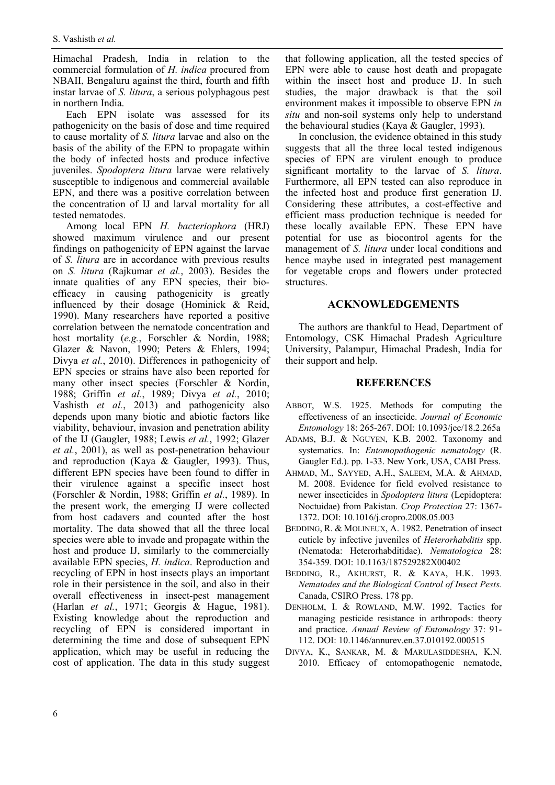Himachal Pradesh, India in relation to the commercial formulation of *H. indica* procured from NBAII, Bengaluru against the third, fourth and fifth instar larvae of *S. litura*, a serious polyphagous pest in northern India.

Each EPN isolate was assessed for its pathogenicity on the basis of dose and time required to cause mortality of *S. litura* larvae and also on the basis of the ability of the EPN to propagate within the body of infected hosts and produce infective juveniles. *Spodoptera litura* larvae were relatively susceptible to indigenous and commercial available EPN, and there was a positive correlation between the concentration of IJ and larval mortality for all tested nematodes.

Among local EPN *H. bacteriophora* (HRJ) showed maximum virulence and our present findings on pathogenicity of EPN against the larvae of *S. litura* are in accordance with previous results on *S. litura* (Rajkumar *et al.*, 2003). Besides the innate qualities of any EPN species, their bioefficacy in causing pathogenicity is greatly influenced by their dosage (Hominick & Reid, 1990). Many researchers have reported a positive correlation between the nematode concentration and host mortality (*e.g.*, Forschler & Nordin, 1988; Glazer & Navon, 1990; Peters & Ehlers, 1994; Divya *et al.*, 2010). Differences in pathogenicity of EPN species or strains have also been reported for many other insect species (Forschler & Nordin, 1988; Griffin *et al.*, 1989; Divya *et al.*, 2010; Vashisth *et al.*, 2013) and pathogenicity also depends upon many biotic and abiotic factors like viability, behaviour, invasion and penetration ability of the IJ (Gaugler, 1988; Lewis *et al.*, 1992; Glazer *et al.*, 2001), as well as post-penetration behaviour and reproduction (Kaya & Gaugler, 1993). Thus, different EPN species have been found to differ in their virulence against a specific insect host (Forschler & Nordin, 1988; Griffin *et al.*, 1989). In the present work, the emerging IJ were collected from host cadavers and counted after the host mortality. The data showed that all the three local species were able to invade and propagate within the host and produce IJ, similarly to the commercially available EPN species, *H. indica*. Reproduction and recycling of EPN in host insects plays an important role in their persistence in the soil, and also in their overall effectiveness in insect-pest management (Harlan *et al.*, 1971; Georgis & Hague, 1981). Existing knowledge about the reproduction and recycling of EPN is considered important in determining the time and dose of subsequent EPN application, which may be useful in reducing the cost of application. The data in this study suggest

that following application, all the tested species of EPN were able to cause host death and propagate within the insect host and produce IJ. In such studies, the major drawback is that the soil environment makes it impossible to observe EPN *in situ* and non-soil systems only help to understand the behavioural studies (Kaya & Gaugler, 1993).

In conclusion, the evidence obtained in this study suggests that all the three local tested indigenous species of EPN are virulent enough to produce significant mortality to the larvae of *S. litura*. Furthermore, all EPN tested can also reproduce in the infected host and produce first generation IJ. Considering these attributes, a cost-effective and efficient mass production technique is needed for these locally available EPN. These EPN have potential for use as biocontrol agents for the management of *S. litura* under local conditions and hence maybe used in integrated pest management for vegetable crops and flowers under protected structures.

#### **ACKNOWLEDGEMENTS**

The authors are thankful to Head, Department of Entomology, CSK Himachal Pradesh Agriculture University, Palampur, Himachal Pradesh, India for their support and help.

#### **REFERENCES**

- ABBOT, W.S. 1925. Methods for computing the effectiveness of an insecticide. *Journal of Economic Entomology* 18: 265-267. [DOI: 10.1093/jee/18.2.265a](https://www.doi.org/10.1093/jee/18.2.265a)
- ADAMS, B.J. & NGUYEN, K.B. 2002. Taxonomy and systematics. In: *Entomopathogenic nematology* (R. Gaugler Ed.). pp. 1-33. New York, USA, CABI Press.
- AHMAD, M., SAYYED, A.H., SALEEM, M.A. & AHMAD, M. 2008. Evidence for field evolved resistance to newer insecticides in *Spodoptera litura* (Lepidoptera: Noctuidae) from Pakistan. *Crop Protection* 27: 1367- 1372. [DOI: 10.1016/j.cropro.2008.05.003](https://www.doi.org/10.1016/j.cropro.2008.05.003)
- BEDDING, R. & MOLINEUX, A. 1982. Penetration of insect cuticle by infective juveniles of *Heterorhabditis* spp. (Nematoda: Heterorhabditidae). *Nematologica* 28: 354-359. DOI: 10.1163/187529282X00402
- BEDDING, R., AKHURST, R. & KAYA, H.K. 1993. *Nematodes and the Biological Control of Insect Pests.* Canada, CSIRO Press. 178 pp.
- DENHOLM, I. & ROWLAND, M.W. 1992. Tactics for managing pesticide resistance in arthropods: theory and practice. *Annual Review of Entomology* 37: 91- 112. [DOI: 10.1146/annurev.en.37.010192.000515](https://www.doi.org/10.1146/annurev.en.37.010192.000515)
- DIVYA, K., SANKAR, M. & MARULASIDDESHA, K.N. 2010. Efficacy of entomopathogenic nematode,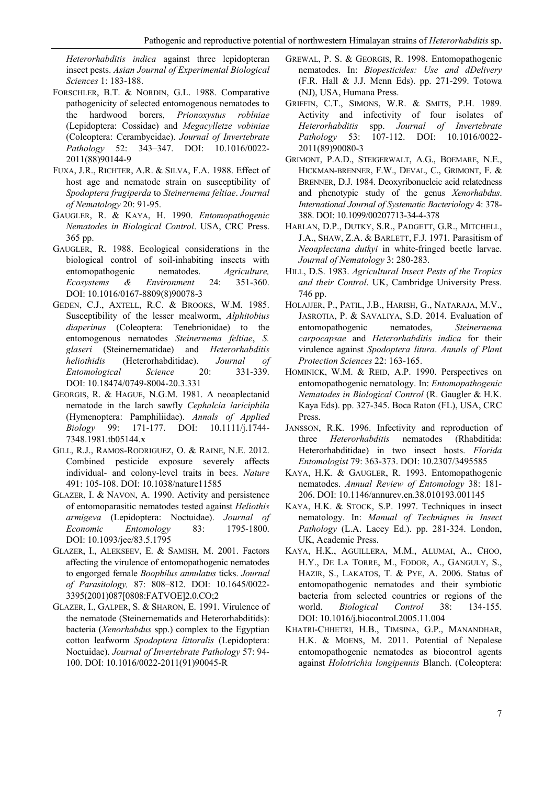*Heterorhabditis indica* against three lepidopteran insect pests. *Asian Journal of Experimental Biological Sciences* 1: 183-188.

- FORSCHLER, B.T. & NORDIN, G.L. 1988. Comparative pathogenicity of selected entomogenous nematodes to the hardwood borers, *Prionoxystus roblniae* (Lepidoptera: Cossidae) and *Megacylletze vobiniae* (Coleoptera: Cerambycidae). *Journal of Invertebrate Pathology* 52: 343–347. [DOI: 10.1016/0022-](https://www.doi.org/10.1016/0022-2011(88)90144-9) [2011\(88\)90144-9](https://www.doi.org/10.1016/0022-2011(88)90144-9)
- FUXA, J.R., RICHTER, A.R. & SILVA, F.A. 1988. Effect of host age and nematode strain on susceptibility of *Spodoptera frugiperda* to *Steinernema feltiae*. *Journal of Nematology* 20: 91-95.
- GAUGLER, R. & KAYA, H. 1990. *Entomopathogenic Nematodes in Biological Control*. USA, CRC Press. 365 pp.
- GAUGLER, R. 1988. Ecological considerations in the biological control of soil-inhabiting insects with entomopathogenic nematodes. *Agriculture, Ecosystems & Environment* 24: 351-360. DOI: [10.1016/0167-8809\(8\)90078-3](https://www.doi.org/DOI:%2010.1016/0167-8809(8)90078-3)
- GEDEN, C.J., AXTELL, R.C. & BROOKS, W.M. 1985. Susceptibility of the lesser mealworm, *Alphitobius diaperinus* (Coleoptera: Tenebrionidae) to the entomogenous nematodes *Steinernema feltiae*, *S. glaseri* (Steinernematidae) and *Heterorhabditis heliothidis* (Heterorhabditidae). *Journal of Entomological Science* 20: 331-339. DOI: [10.18474/0749-8004-20.3.331](https://www.doi.org/10.18474/0749-8004-20.3.331)
- GEORGIS, R. & HAGUE, N.G.M. 1981. A neoaplectanid nematode in the larch sawfly *Cephalcia lariciphila* (Hymenoptera: Pamphiliidae). *Annals of Applied Biology* 99: 171-177. [DOI: 10.1111/j.1744-](https://www.doi.org/10.1111/j.1744-7348.1981.tb05144.x) [7348.1981.tb05144.x](https://www.doi.org/10.1111/j.1744-7348.1981.tb05144.x)
- GILL, R.J., RAMOS-RODRIGUEZ, O. & RAINE, N.E. 2012. Combined pesticide exposure severely affects individual- and colony-level traits in bees. *Nature* 491: 105-108[. DOI: 10.1038/nature11585](https://www.doi.org/10.1038/nature11585)
- GLAZER, I. & NAVON, A. 1990. Activity and persistence of entomoparasitic nematodes tested against *Heliothis armigeva* (Lepidoptera: Noctuidae). *Journal of Economic Entomology* 83: 1795-1800. DOI: [10.1093/jee/83.5.1795](https://www.doi.org/10.1093/jee/83.5.1795)
- GLAZER, I., ALEKSEEV, E. & SAMISH, M. 2001. Factors affecting the virulence of entomopathogenic nematodes to engorged female *Boophilus annulatus* ticks. *Journal of Parasitology,* 87: 808–812. [DOI: 10.1645/0022-](https://www.doi.org/10.1645/0022-3395(2001)087%5b0808:%20FATVOE%5d%202.0.%20CO;2) [3395\(2001\)087\[0808:FATVOE\]2.0.CO;2](https://www.doi.org/10.1645/0022-3395(2001)087%5b0808:%20FATVOE%5d%202.0.%20CO;2)
- GLAZER, I., GALPER, S. & SHARON, E. 1991. Virulence of the nematode (Steinernematids and Heterorhabditids): bacteria (*Xenorhabdus* spp.) complex to the Egyptian cotton leafworm *Spodoptera littoralis* (Lepidoptera: Noctuidae). *Journal of Invertebrate Pathology* 57: 94- 100. [DOI: 10.1016/0022-2011\(91\)90045-R](https://www.doi.org/10.1016/0022-2011(91)90045-R)
- GREWAL, P. S. & GEORGIS, R. 1998. Entomopathogenic nematodes. In: *Biopesticides: Use and dDelivery*  (F.R. Hall & J.J. Menn Eds). pp. 271-299. Totowa (NJ), USA, Humana Press.
- GRIFFIN, C.T., SIMONS, W.R. & SMITS, P.H. 1989. Activity and infectivity of four isolates of *Heterorhabditis* spp. *Journal of Invertebrate Pathology* 53: 107-112. [DOI: 10.1016/0022-](https://www.doi.org/10.1016/0022-2011(89)90080-3) [2011\(89\)90080-3](https://www.doi.org/10.1016/0022-2011(89)90080-3)
- GRIMONT, P.A.D., STEIGERWALT, A.G., BOEMARE, N.E., HICKMAN-BRENNER, F.W., DEVAL, C., GRIMONT, F. & BRENNER, D.J. 1984. Deoxyribonucleic acid relatedness and phenotypic study of the genus *Xenorhabdus*. *International Journal of Systematic Bacteriology* 4: 378- 388[. DOI: 10.1099/00207713-34-4-378](https://www.doi.org/10.1099/00207713-34-4-378)
- HARLAN, D.P., DUTKY, S.R., PADGETT, G.R., MITCHELL, J.A., SHAW, Z.A. & BARLETT, F.J. 1971. Parasitism of *Neoaplectana dutkyi* in white-fringed beetle larvae. *Journal of Nematology* 3: 280-283.
- HILL, D.S. 1983. *Agricultural Insect Pests of the Tropics and their Control*. UK, Cambridge University Press. 746 pp.
- HOLAJJER, P., PATIL, J.B., HARISH, G., NATARAJA, M.V., JASROTIA, P. & SAVALIYA, S.D. 2014. Evaluation of entomopathogenic nematodes, *Steinernema carpocapsae* and *Heterorhabditis indica* for their virulence against *Spodoptera litura*. *Annals of Plant Protection Sciences* 22: 163-165.
- HOMINICK, W.M. & REID, A.P. 1990. Perspectives on entomopathogenic nematology. In: *Entomopathogenic Nematodes in Biological Control* (R. Gaugler & H.K. Kaya Eds). pp. 327-345. Boca Raton (FL), USA, CRC Press.
- JANSSON, R.K. 1996. Infectivity and reproduction of three *Heterorhabditis* nematodes (Rhabditida: Heterorhabditidae) in two insect hosts. *Florida Entomologist* 79: 363-373. DOI: 10.2307/3495585
- KAYA, H.K. & GAUGLER, R. 1993. Entomopathogenic nematodes. *Annual Review of Entomology* 38: 181- 206. [DOI: 10.1146/annurev.en.38.010193.001145](https://www.doi.org/10.1146/annurev.en.38.010193.001145)
- KAYA, H.K. & STOCK, S.P. 1997. Techniques in insect nematology. In: *Manual of Techniques in Insect Pathology* (L.A. Lacey Ed.). pp. 281-324. London, UK, Academic Press.
- KAYA, H.K., AGUILLERA, M.M., ALUMAI, A., CHOO, H.Y., DE LA TORRE, M., FODOR, A., GANGULY, S., HAZIR, S., LAKATOS, T. & PYE, A. 2006. Status of entomopathogenic nematodes and their symbiotic bacteria from selected countries or regions of the world. *Biological Control* 38: 134-155. DOI: [10.1016/j.biocontrol.2005.11.004](https://www.doi.org/10.1016/j.biocontrol.2005.11.004)
- KHATRI-CHHETRI, H.B., TIMSINA, G.P., MANANDHAR, H.K. & MOENS, M. 2011. Potential of Nepalese entomopathogenic nematodes as biocontrol agents against *Holotrichia longipennis* Blanch. (Coleoptera: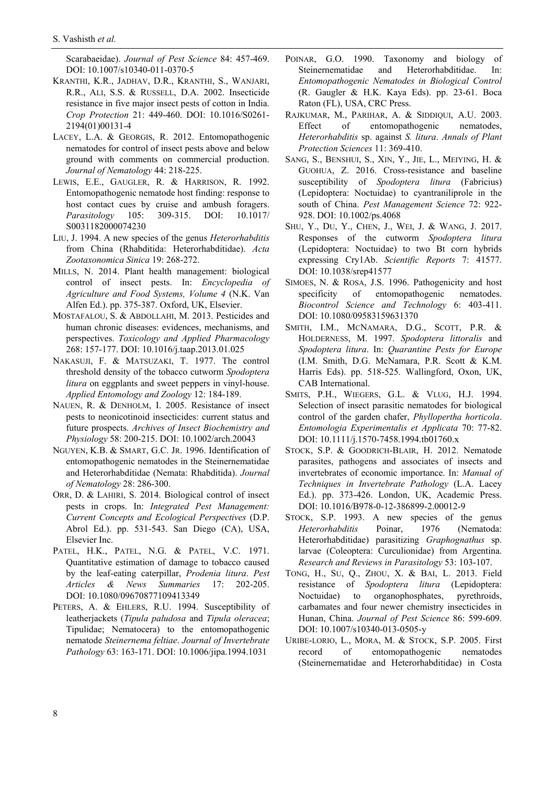Scarabaeidae). *Journal of Pest Science* 84: 457-469. [DOI: 10.1007/s10340-011-0370-5](https://www.doi.org/10.1007/s10340-011-0370-5)

- KRANTHI, K.R., JADHAV, D.R., KRANTHI, S., WANJARI, R.R., ALI, S.S. & RUSSELL, D.A. 2002. Insecticide resistance in five major insect pests of cotton in India. *Crop Protection* 21: 449-460. [DOI: 10.1016/S0261-](https://www.doi.org/10.1016/S0261-2194(01)00131-4) [2194\(01\)00131-4](https://www.doi.org/10.1016/S0261-2194(01)00131-4)
- LACEY, L.A. & GEORGIS, R. 2012. Entomopathogenic nematodes for control of insect pests above and below ground with comments on commercial production. *Journal of Nematology* 44: 218-225.
- LEWIS, E.E., GAUGLER, R. & HARRISON, R. 1992. Entomopathogenic nematode host finding: response to host contact cues by cruise and ambush foragers. *Parasitology* 105: 309-315. [DOI: 10.1017/](https://www.doi.org/10.1017/S0031182000074230) [S0031182000074230](https://www.doi.org/10.1017/S0031182000074230)
- LIU, J. 1994. A new species of the genus *Heterorhabditis* from China (Rhabditida: Heterorhabditidae). *Acta Zootaxonomica Sinica* 19: 268-272.
- MILLS, N. 2014. Plant health management: biological control of insect pests. In: *Encyclopedia of Agriculture and Food Systems, Volume 4* (N.K. Van Alfen Ed.). pp. 375-387. Oxford, UK, Elsevier.
- MOSTAFALOU, S. & ABDOLLAHI, M. 2013. Pesticides and human chronic diseases: evidences, mechanisms, and perspectives. *Toxicology and Applied Pharmacology* 268: 157-177[. DOI: 10.1016/j.taap.2013.01.025](https://www.doi.org/10.1016/j.taap.2013.01.025)
- NAKASUJI, F. & MATSUZAKI, T. 1977. The control threshold density of the tobacco cutworm *Spodoptera litura* on eggplants and sweet peppers in vinyl-house. *Applied Entomology and Zoology* 12: 184-189.
- NAUEN, R. & DENHOLM, I. 2005. Resistance of insect pests to neonicotinoid insecticides: current status and future prospects. *Archives of Insect Biochemistry and Physiology* 58: 200-215[. DOI: 10.1002/arch.20043](https://www.doi.org/10.1002/arch.20043)
- NGUYEN, K.B. & SMART, G.C. JR. 1996. Identification of entomopathogenic nematodes in the Steinernematidae and Heterorhabditidae (Nemata: Rhabditida). *Journal of Nematology* 28: 286-300.
- ORR, D. & LAHIRI, S. 2014. Biological control of insect pests in crops. In: *Integrated Pest Management: Current Concepts and Ecological Perspectives* (D.P. Abrol Ed.). pp. 531-543. San Diego (CA), USA, Elsevier Inc.
- PATEL, H.K., PATEL, N.G. & PATEL, V.C. 1971. Quantitative estimation of damage to tobacco caused by the leaf-eating caterpillar, *Prodenia litura*. *Pest Articles & News Summaries* 17: 202-205. DOI: [10.1080/09670877109413349](https://www.doi.org/10.1080/09670877109413349)
- PETERS, A. & EHLERS, R.U. 1994. Susceptibility of leatherjackets (*Tipula paludosa* and *Tipula oleracea*; Tipulidae; Nematocera) to the entomopathogenic nematode *Steinernema feltiae*. *Journal of Invertebrate Pathology* 63: 163-171. [DOI: 10.1006/jipa.1994.1031](https://www.doi.org/10.1006/jipa.1994.1031)
- POINAR, G.O. 1990. Taxonomy and biology of Steinernematidae and Heterorhabditidae. In: *Entomopathogenic Nematodes in Biological Control*  (R. Gaugler & H.K. Kaya Eds). pp. 23-61. Boca Raton (FL), USA, CRC Press.
- RAJKUMAR, M., PARIHAR, A. & SIDDIQUI, A.U. 2003. Effect of entomopathogenic nematodes, *Heterorhabditis* sp. against *S. litura*. *Annals of Plant Protection Sciences* 11: 369-410.
- SANG, S., BENSHUI, S., XIN, Y., JIE, L., MEIYING, H. & GUOHUA, Z. 2016. Cross-resistance and baseline susceptibility of *Spodoptera litura* (Fabricius) (Lepidoptera: Noctuidae) to cyantraniliprole in the south of China. *Pest Management Science* 72: 922- 928. [DOI: 10.1002/ps.4068](https://www.doi.org/10.1002/ps.4068)
- SHU, Y., DU, Y., CHEN, J., WEI, J. & WANG, J. 2017. Responses of the cutworm *Spodoptera litura* (Lepidoptera: Noctuidae) to two Bt corn hybrids expressing Cry1Ab. *Scientific Reports* 7: 41577. DOI: [10.1038/srep41577](https://www.doi.org/10.1038/srep41577)
- SIMOES, N. & ROSA, J.S. 1996. Pathogenicity and host specificity of entomopathogenic nematodes. *Biocontrol Science and Technology* 6: 403-411. DOI: [10.1080/09583159631370](https://www.doi.org/10.1080/09583159631370)
- SMITH, I.M., MCNAMARA, D.G., SCOTT, P.R. & HOLDERNESS, M. 1997. *Spodoptera littoralis* and *Spodoptera litura*. In: *Quarantine Pests for Europe* (I.M. Smith, D.G. McNamara, P.R. Scott & K.M. Harris Eds). pp. 518-525. Wallingford, Oxon, UK, CAB International.
- SMITS, P.H., WIEGERS, G.L. & VLUG, H.J. 1994. Selection of insect parasitic nematodes for biological control of the garden chafer, *Phyllopertha horticola*. *Entomologia Experimentalis et Applicata* 70: 77-82. [DOI: 10.1111/j.1570-7458.1994.tb01760.x](https://www.doi.org/10.1111/j.1570-7458.1994.tb01760.x)
- STOCK, S.P. & GOODRICH-BLAIR, H. 2012. Nematode parasites, pathogens and associates of insects and invertebrates of economic importance. In: *Manual of Techniques in Invertebrate Pathology* (L.A. Lacey Ed.). pp. 373-426. London, UK, Academic Press. DOI: 10.1016/B978-0-12-386899-2.00012-9
- STOCK, S.P. 1993. A new species of the genus *Heterorhabditis* Poinar, 1976 (Nematoda: Heterorhabditidae) parasitizing *Graphognathus* sp. larvae (Coleoptera: Curculionidae) from Argentina. *Research and Reviews in Parasitology* 53: 103-107.
- TONG, H., SU, Q., ZHOU, X. & BAI, L. 2013. Field resistance of *Spodoptera litura* (Lepidoptera: Noctuidae) to organophosphates, pyrethroids, carbamates and four newer chemistry insecticides in Hunan, China. *Journal of Pest Science* 86: 599-609. [DOI: 10.1007/s10340-013-0505-y](https://www.doi.org/10.1007/s10340-013-0505-y)
- URIBE-LORIO, L., MORA, M. & STOCK, S.P. 2005. First record of entomopathogenic nematodes (Steinernematidae and Heterorhabditidae) in Costa